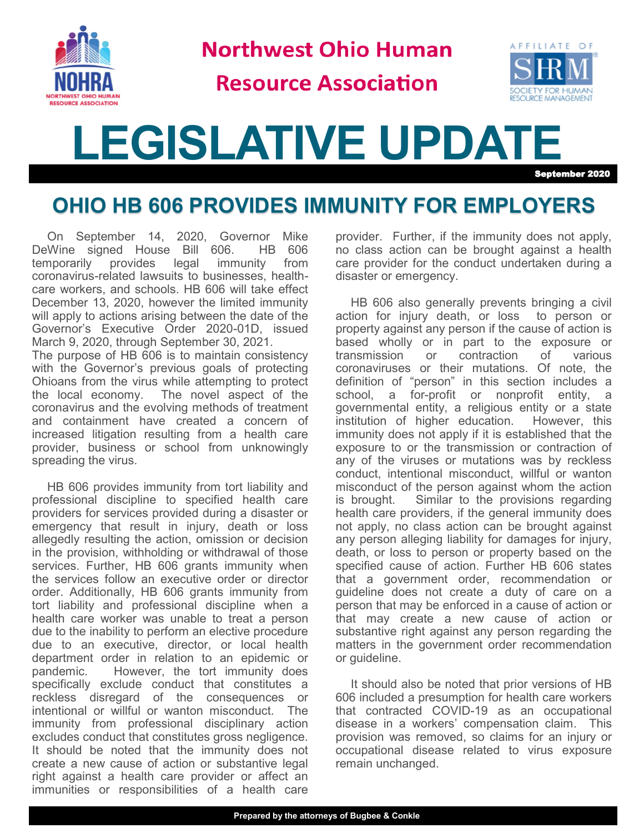

**Northwest Ohio Human** 

### **Resource Association**



# **LEGISLATIVE UPDATE** September 2020

## **OHIO HB 606 PROVIDES IMMUNITY FOR EMPLOYERS**

On September 14, 2020, Governor Mike<br>Wine signed House Bill 606. HB 606 DeWine signed House Bill 606. temporarily provides legal immunity from coronavirus-related lawsuits to businesses, healthcare workers, and schools. HB 606 will take effect December 13, 2020, however the limited immunity will apply to actions arising between the date of the Governor's Executive Order 2020-01D, issued March 9, 2020, through September 30, 2021. The purpose of HB 606 is to maintain consistency

with the Governor's previous goals of protecting Ohioans from the virus while attempting to protect the local economy. The novel aspect of the coronavirus and the evolving methods of treatment and containment have created a concern of increased litigation resulting from a health care provider, business or school from unknowingly spreading the virus.

HB 606 provides immunity from tort liability and professional discipline to specified health care providers for services provided during a disaster or emergency that result in injury, death or loss allegedly resulting the action, omission or decision in the provision, withholding or withdrawal of those services. Further, HB 606 grants immunity when the services follow an executive order or director order. Additionally, HB 606 grants immunity from tort liability and professional discipline when a health care worker was unable to treat a person due to the inability to perform an elective procedure due to an executive, director, or local health department order in relation to an epidemic or pandemic. However, the tort immunity does specifically exclude conduct that constitutes a reckless disregard of the consequences or intentional or willful or wanton misconduct. The immunity from professional disciplinary action excludes conduct that constitutes gross negligence. It should be noted that the immunity does not create a new cause of action or substantive legal right against a health care provider or affect an immunities or responsibilities of a health care

provider. Further, if the immunity does not apply, no class action can be brought against a health care provider for the conduct undertaken during a disaster or emergency.

HB 606 also generally prevents bringing a civil action for injury death, or loss to person or property against any person if the cause of action is based wholly or in part to the exposure or transmission or contraction of various coronaviruses or their mutations. Of note, the definition of "person" in this section includes a school, a for-profit or nonprofit entity, a governmental entity, a religious entity or a state institution of higher education. However, this immunity does not apply if it is established that the exposure to or the transmission or contraction of any of the viruses or mutations was by reckless conduct, intentional misconduct, willful or wanton misconduct of the person against whom the action is brought. Similar to the provisions regarding health care providers, if the general immunity does not apply, no class action can be brought against any person alleging liability for damages for injury, death, or loss to person or property based on the specified cause of action. Further HB 606 states that a government order, recommendation or guideline does not create a duty of care on a person that may be enforced in a cause of action or that may create a new cause of action or substantive right against any person regarding the matters in the government order recommendation or guideline.

It should also be noted that prior versions of HB 606 included a presumption for health care workers that contracted COVID-19 as an occupational disease in a workers' compensation claim. This provision was removed, so claims for an injury or occupational disease related to virus exposure remain unchanged.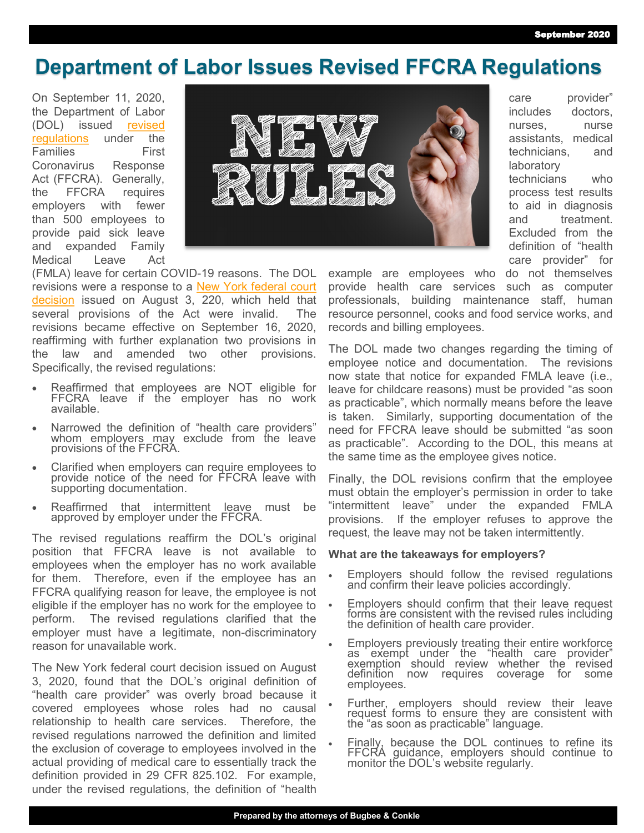care provider" includes doctors, nurses, nurse assistants, medical technicians, and

technicians who process test results to aid in diagnosis and treatment. Excluded from the definition of "health care provider" for

laboratory

#### **Department of Labor Issues Revised FFCRA Regulations**

On September 11, 2020, the Department of Labor (DOL) issued [revised](https://www.dol.gov/agencies/whd/pandemic/ffcra-questions)  [regulations](https://www.dol.gov/agencies/whd/pandemic/ffcra-questions) under the Families First Coronavirus Response Act (FFCRA). Generally, the FFCRA requires employers with fewer than 500 employees to provide paid sick leave and expanded Family Medical Leave Act



(FMLA) leave for certain COVID-19 reasons. The DOL revisions were a response to a **New York federal court** [decision](https://www.nysd.uscourts.gov/sites/default/files/2020-08/State%20of%20New%20York%20v.%20United%20States%20Department%20of%20Labor%20et%20al%2C%2020-cv-3020%20%28JPO%29.pdf) issued on August 3, 220, which held that several provisions of the Act were invalid. The revisions became effective on September 16, 2020, reaffirming with further explanation two provisions in the law and amended two other provisions. Specifically, the revised regulations:

- Reaffirmed that employees are NOT eligible for FFCRA leave if the employer has no work available.
- Narrowed the definition of "health care providers" whom employers may exclude from the leave provisions of the FFCRA.
- Clarified when employers can require employees to provide notice of the need for FFCRA leave with supporting documentation.
- Reaffirmed that intermittent leave must be approved by employer under the FFCRA.

The revised regulations reaffirm the DOL's original position that FFCRA leave is not available to employees when the employer has no work available for them. Therefore, even if the employee has an FFCRA qualifying reason for leave, the employee is not eligible if the employer has no work for the employee to perform. The revised regulations clarified that the employer must have a legitimate, non-discriminatory reason for unavailable work.

The New York federal court decision issued on August 3, 2020, found that the DOL's original definition of "health care provider" was overly broad because it covered employees whose roles had no causal relationship to health care services. Therefore, the revised regulations narrowed the definition and limited the exclusion of coverage to employees involved in the actual providing of medical care to essentially track the definition provided in 29 CFR 825.102. For example, under the revised regulations, the definition of "health

example are employees who do not themselves provide health care services such as computer professionals, building maintenance staff, human resource personnel, cooks and food service works, and records and billing employees.

The DOL made two changes regarding the timing of employee notice and documentation. The revisions now state that notice for expanded FMLA leave (i.e., leave for childcare reasons) must be provided "as soon as practicable", which normally means before the leave is taken. Similarly, supporting documentation of the need for FFCRA leave should be submitted "as soon as practicable". According to the DOL, this means at the same time as the employee gives notice.

Finally, the DOL revisions confirm that the employee must obtain the employer's permission in order to take "intermittent leave" under the expanded FMLA provisions. If the employer refuses to approve the request, the leave may not be taken intermittently.

#### **What are the takeaways for employers?**

- Employers should follow the revised regulations and confirm their leave policies accordingly.
- Employers should confirm that their leave request forms are consistent with the revised rules including the definition of health care provider.
- Employers previously treating their entire workforce as exempt under the "health care provider" exemption should review whether the revised definition now requires coverage for some employees.
- Further, employers should review their leave request forms to ensure they are consistent with the "as soon as practicable" language.
- Finally, because the DOL continues to refine its FFCRA guidance, employers should continue to monitor the DOL's website regularly.